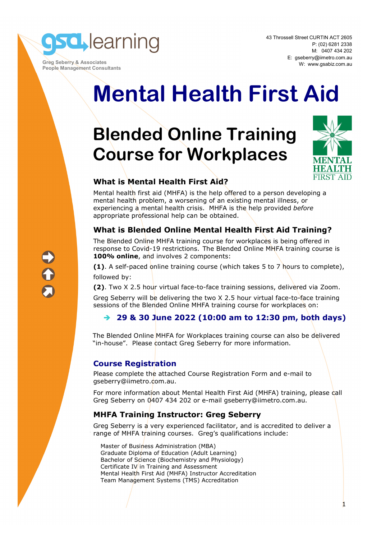

 **Greg Seberry & Associates People Management Consultants** 

# **Mental Health First Aid**

## **Blended Online Training Course for Workplaces**



1

#### **What is Mental Health First Aid?**

Mental health first aid (MHFA) is the help offered to a person developing a mental health problem, a worsening of an existing mental illness, or experiencing a mental health crisis. MHFA is the help provided *before* appropriate professional help can be obtained.

#### **What is Blended Online Mental Health First Aid Training?**

The Blended Online MHFA training course for workplaces is being offered in response to Covid-19 restrictions. The Blended Online MHFA training course is **100% online**, and involves 2 components:

**(1)**. A self-paced online training course (which takes 5 to 7 hours to complete), followed by:

**(2)**. Two X 2.5 hour virtual face-to-face training sessions, delivered via Zoom.

Greg Seberry will be delivering the two X 2.5 hour virtual face-to-face training sessions of the Blended Online MHFA training course for workplaces on:

#### **29 & 30 June 2022 (10:00 am to 12:30 pm, both days)**

The Blended Online MHFA for Workplaces training course can also be delivered "in-house". Please contact Greg Seberry for more information.

#### **Course Registration**

Please complete the attached Course Registration Form and e-mail to gseberry@iimetro.com.au.

For more information about Mental Health First Aid (MHFA) training, please call Greg Seberry on 0407 434 202 or e-mail gseberry@iimetro.com.au.

#### **MHFA Training Instructor: Greg Seberry**

Greg Seberry is a very experienced facilitator, and is accredited to deliver a range of MHFA training courses. Greg's qualifications include:

Master of Business Administration (MBA) Graduate Diploma of Education (Adult Learning) Bachelor of Science (Biochemistry and Physiology) Certificate IV in Training and Assessment Mental Health First Aid (MHFA) Instructor Accreditation Team Management Systems (TMS) Accreditation